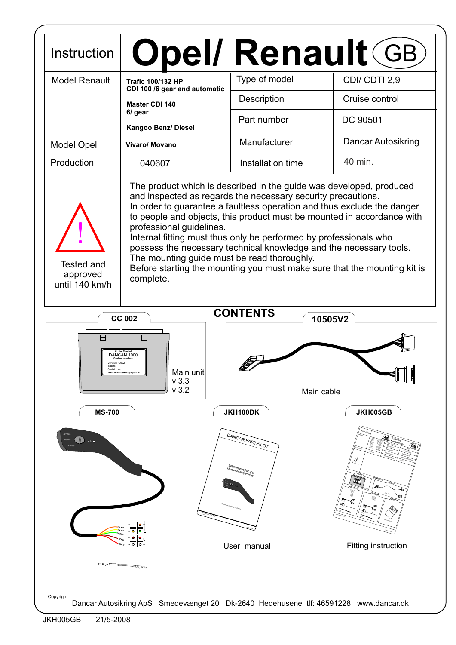| Instruction                              | <b>Opel/ Renault GB</b>                                                                                                                                                                                                                                                                                                                                                                                                                                                                                                                                                                                 |                                                                    |                                               |  |  |  |  |
|------------------------------------------|---------------------------------------------------------------------------------------------------------------------------------------------------------------------------------------------------------------------------------------------------------------------------------------------------------------------------------------------------------------------------------------------------------------------------------------------------------------------------------------------------------------------------------------------------------------------------------------------------------|--------------------------------------------------------------------|-----------------------------------------------|--|--|--|--|
| <b>Model Renault</b>                     | <b>Trafic 100/132 HP</b>                                                                                                                                                                                                                                                                                                                                                                                                                                                                                                                                                                                | Type of model                                                      | CDI/CDTI 2,9                                  |  |  |  |  |
|                                          | CDI 100 /6 gear and automatic<br><b>Master CDI 140</b>                                                                                                                                                                                                                                                                                                                                                                                                                                                                                                                                                  | Description                                                        | Cruise control                                |  |  |  |  |
|                                          | 6/ gear<br>Kangoo Benz/ Diesel                                                                                                                                                                                                                                                                                                                                                                                                                                                                                                                                                                          | Part number                                                        | DC 90501                                      |  |  |  |  |
| <b>Model Opel</b>                        | Vivaro/ Movano                                                                                                                                                                                                                                                                                                                                                                                                                                                                                                                                                                                          | Manufacturer                                                       | Dancar Autosikring                            |  |  |  |  |
| Production                               | 040607                                                                                                                                                                                                                                                                                                                                                                                                                                                                                                                                                                                                  | Installation time                                                  | 40 min.                                       |  |  |  |  |
| Tested and<br>approved<br>until 140 km/h | The product which is described in the guide was developed, produced<br>and inspected as regards the necessary security precautions.<br>In order to guarantee a faultless operation and thus exclude the danger<br>to people and objects, this product must be mounted in accordance with<br>professional guidelines.<br>Internal fitting must thus only be performed by professionals who<br>possess the necessary technical knowledge and the necessary tools.<br>The mounting guide must be read thoroughly.<br>Before starting the mounting you must make sure that the mounting kit is<br>complete. |                                                                    |                                               |  |  |  |  |
|                                          |                                                                                                                                                                                                                                                                                                                                                                                                                                                                                                                                                                                                         |                                                                    |                                               |  |  |  |  |
| Serial                                   | <b>CC 002</b><br>DANCAN 1000<br>Main unit<br>Dancar Autosikring ApS/DI<br>$v$ 3.3                                                                                                                                                                                                                                                                                                                                                                                                                                                                                                                       | <b>CONTENTS</b><br>10505V2                                         | ▝▐▙▁▏▏▊                                       |  |  |  |  |
|                                          | v3.2                                                                                                                                                                                                                                                                                                                                                                                                                                                                                                                                                                                                    | Main cable                                                         |                                               |  |  |  |  |
| <b>MS-700</b><br>$\blacksquare$          |                                                                                                                                                                                                                                                                                                                                                                                                                                                                                                                                                                                                         | JKH100DK<br>DANCAR FARTPILOT<br>etjeningsvejledning<br>User manual | JKH005GB<br>$\sqrt{2}$<br>Fitting instruction |  |  |  |  |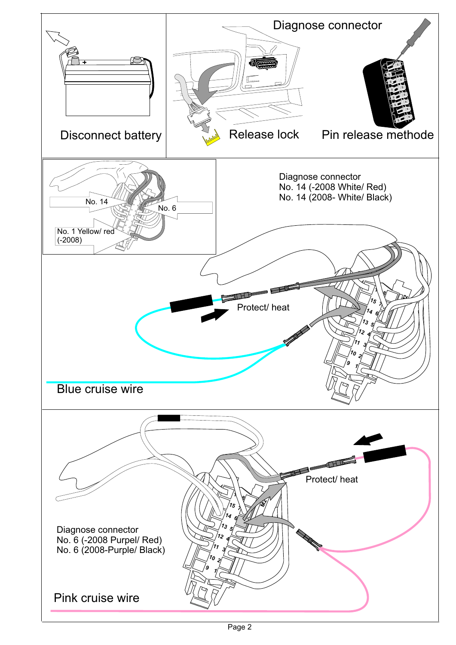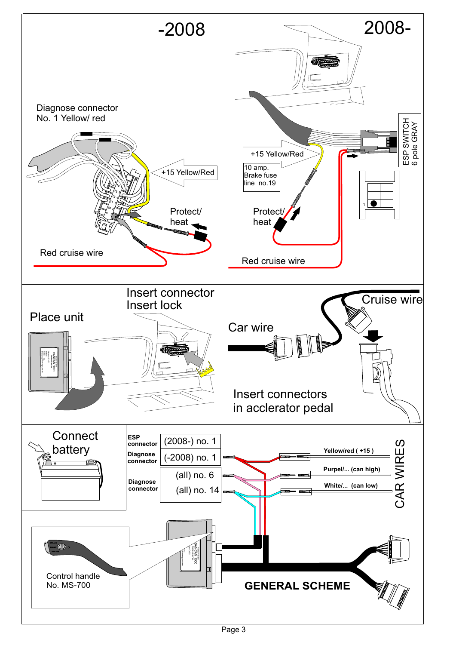